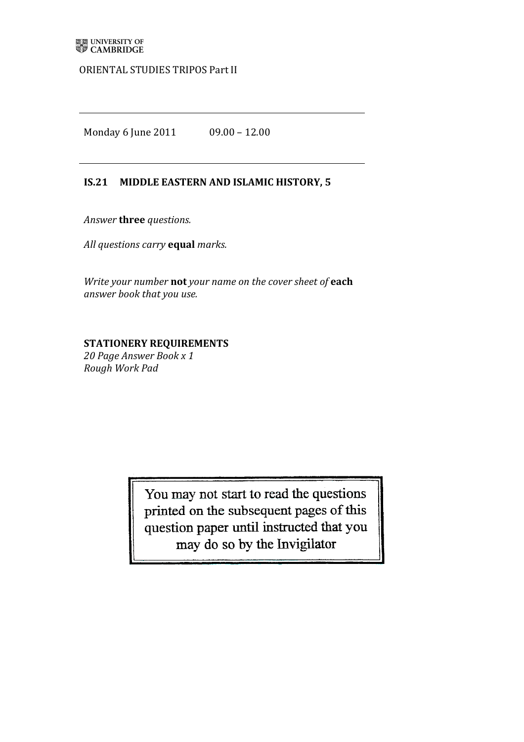## ORIENTAL STUDIES TRIPOS Part II

Monday 6 June 2011 09.00 - 12.00

## **IS.21 MIDDLE EASTERN AND ISLAMIC HISTORY, 5**

Answer **three** questions.

*All'questions'carry'***equal** *marks.*

*Write your number* not your name on the cover sheet of each *answer book that'you'use.*

## **STATIONERY REQUIREMENTS**

20 Page Answer Book x 1 *Rough'Work'Pad*

> You may not start to read the questions printed on the subsequent pages of this question paper until instructed that you may do so by the Invigilator